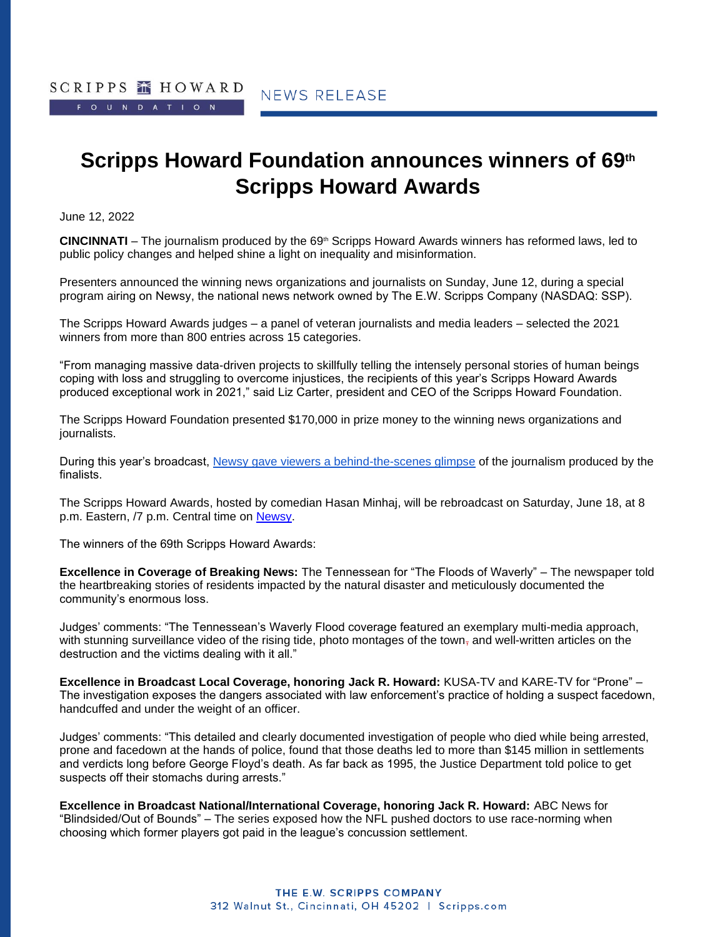# **Scripps Howard Foundation announces winners of 69th Scripps Howard Awards**

June 12, 2022

**CINCINNATI** – The journalism produced by the 69<sup>th</sup> Scripps Howard Awards winners has reformed laws, led to public policy changes and helped shine a light on inequality and misinformation.

Presenters announced the winning news organizations and journalists on Sunday, June 12, during a special program airing on Newsy, the national news network owned by The E.W. Scripps Company (NASDAQ: SSP). 

The Scripps Howard Awards judges – a panel of veteran journalists and media leaders – selected the 2021 winners from more than 800 entries across 15 categories.

"From managing massive data-driven projects to skillfully telling the intensely personal stories of human beings coping with loss and struggling to overcome injustices, the recipients of this year's Scripps Howard Awards produced exceptional work in 2021," said Liz Carter, president and CEO of the Scripps Howard Foundation. 

The Scripps Howard Foundation presented \$170,000 in prize money to the winning news organizations and journalists.

During this year's broadcast, [Newsy gave viewers a behind-the-scenes glimpse](https://www.newsy.com/scrippshowardawards/) of the journalism produced by the finalists. 

The Scripps Howard Awards, hosted by comedian Hasan Minhaj, will be rebroadcast on Saturday, June 18, at 8 p.m. Eastern, /7 p.m. Central time on [Newsy.](https://www.newsy.com/where-to-watch/)

The winners of the 69th Scripps Howard Awards: 

**Excellence in Coverage of Breaking News:** The Tennessean for "The Floods of Waverly" – The newspaper told the heartbreaking stories of residents impacted by the natural disaster and meticulously documented the community's enormous loss.

Judges' comments: "The Tennessean's Waverly Flood coverage featured an exemplary multi-media approach, with stunning surveillance video of the rising tide, photo montages of the town, and well-written articles on the destruction and the victims dealing with it all."

**Excellence in Broadcast Local Coverage, honoring Jack R. Howard:** KUSA-TV and KARE-TV for "Prone" – The investigation exposes the dangers associated with law enforcement's practice of holding a suspect facedown, handcuffed and under the weight of an officer.

Judges' comments: "This detailed and clearly documented investigation of people who died while being arrested, prone and facedown at the hands of police, found that those deaths led to more than \$145 million in settlements and verdicts long before George Floyd's death. As far back as 1995, the Justice Department told police to get suspects off their stomachs during arrests."

**Excellence in Broadcast National/International Coverage, honoring Jack R. Howard:** ABC News for "Blindsided/Out of Bounds" – The series exposed how the NFL pushed doctors to use race-norming when choosing which former players got paid in the league's concussion settlement.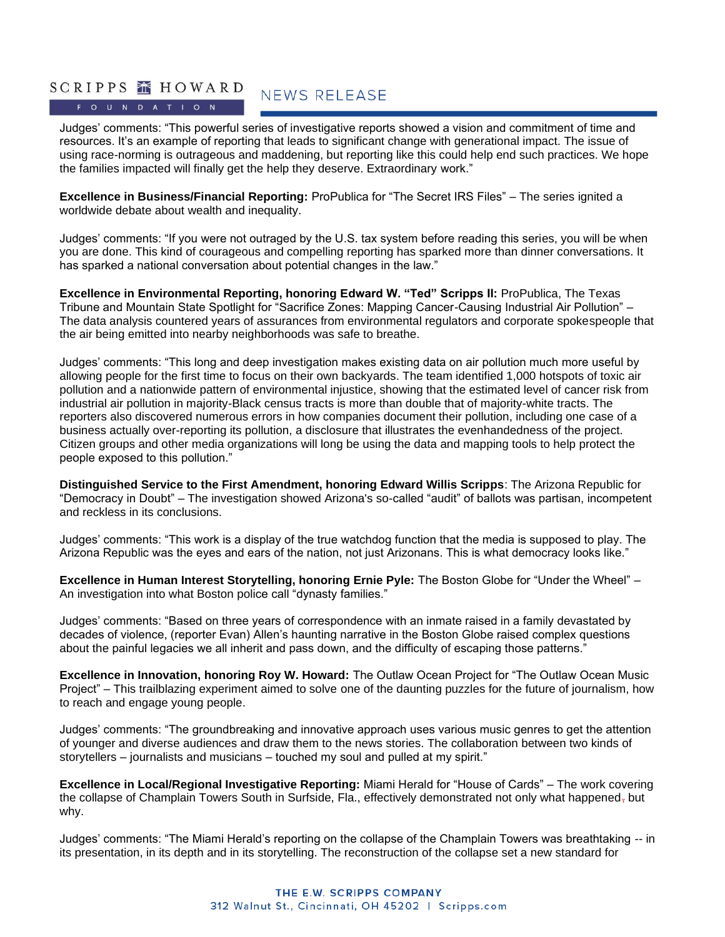### SCRIPPS **MENOWARD** FOUNDATION

**NEWS RELEASE** 

Judges' comments: "This powerful series of investigative reports showed a vision and commitment of time and resources. It's an example of reporting that leads to significant change with generational impact. The issue of using race-norming is outrageous and maddening, but reporting like this could help end such practices. We hope the families impacted will finally get the help they deserve. Extraordinary work."

**Excellence in Business/Financial Reporting:** ProPublica for "The Secret IRS Files" – The series ignited a worldwide debate about wealth and inequality.

Judges' comments: "If you were not outraged by the U.S. tax system before reading this series, you will be when you are done. This kind of courageous and compelling reporting has sparked more than dinner conversations. It has sparked a national conversation about potential changes in the law."

**Excellence in Environmental Reporting, honoring Edward W. "Ted" Scripps II:** ProPublica, The Texas Tribune and Mountain State Spotlight for "Sacrifice Zones: Mapping Cancer-Causing Industrial Air Pollution" – The data analysis countered years of assurances from environmental regulators and corporate spokespeople that the air being emitted into nearby neighborhoods was safe to breathe.

Judges' comments: "This long and deep investigation makes existing data on air pollution much more useful by allowing people for the first time to focus on their own backyards. The team identified 1,000 hotspots of toxic air pollution and a nationwide pattern of environmental injustice, showing that the estimated level of cancer risk from industrial air pollution in majority-Black census tracts is more than double that of majority-white tracts. The reporters also discovered numerous errors in how companies document their pollution, including one case of a business actually over-reporting its pollution, a disclosure that illustrates the evenhandedness of the project. Citizen groups and other media organizations will long be using the data and mapping tools to help protect the people exposed to this pollution."

**Distinguished Service to the First Amendment, honoring Edward Willis Scripps**: The Arizona Republic for "Democracy in Doubt" – The investigation showed Arizona's so-called "audit" of ballots was partisan, incompetent and reckless in its conclusions.

Judges' comments: "This work is a display of the true watchdog function that the media is supposed to play. The Arizona Republic was the eyes and ears of the nation, not just Arizonans. This is what democracy looks like."

**Excellence in Human Interest Storytelling, honoring Ernie Pyle:** The Boston Globe for "Under the Wheel" – An investigation into what Boston police call "dynasty families."

Judges' comments: "Based on three years of correspondence with an inmate raised in a family devastated by decades of violence, (reporter Evan) Allen's haunting narrative in the Boston Globe raised complex questions about the painful legacies we all inherit and pass down, and the difficulty of escaping those patterns."

**Excellence in Innovation, honoring Roy W. Howard:** The Outlaw Ocean Project for "The Outlaw Ocean Music Project" – This trailblazing experiment aimed to solve one of the daunting puzzles for the future of journalism, how to reach and engage young people.

Judges' comments: "The groundbreaking and innovative approach uses various music genres to get the attention of younger and diverse audiences and draw them to the news stories. The collaboration between two kinds of storytellers – journalists and musicians – touched my soul and pulled at my spirit."

**Excellence in Local/Regional Investigative Reporting:** Miami Herald for "House of Cards" – The work covering the collapse of Champlain Towers South in Surfside, Fla., effectively demonstrated not only what happened, but why.

Judges' comments: "The Miami Herald's reporting on the collapse of the Champlain Towers was breathtaking -- in its presentation, in its depth and in its storytelling. The reconstruction of the collapse set a new standard for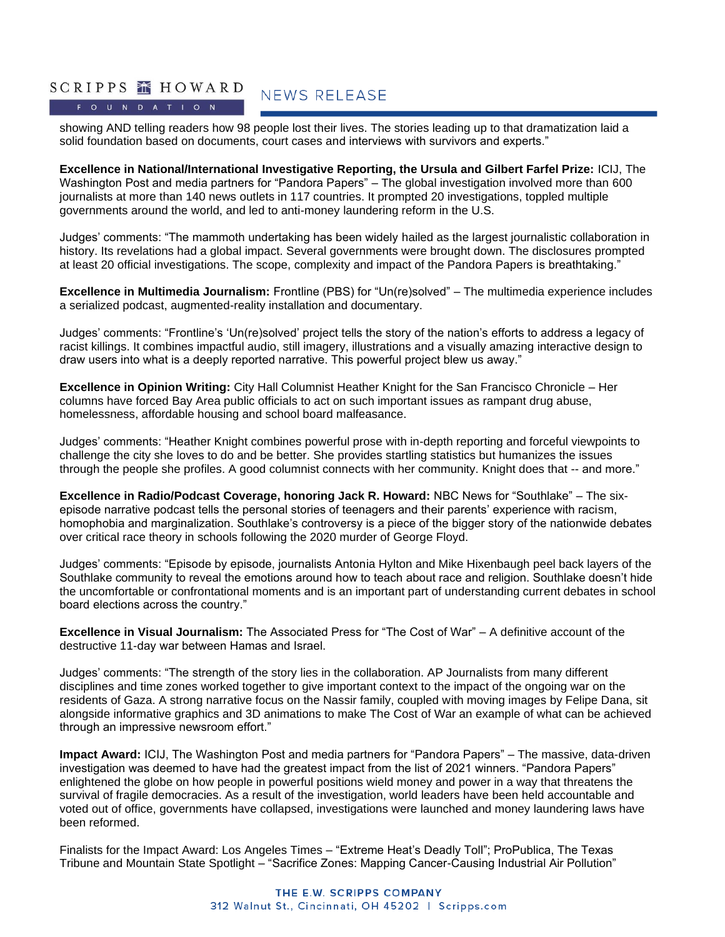## SCRIPPS **MENOWARD**

FOUNDATION

**NEWS RELEASE** 

showing AND telling readers how 98 people lost their lives. The stories leading up to that dramatization laid a solid foundation based on documents, court cases and interviews with survivors and experts."

**Excellence in National/International Investigative Reporting, the Ursula and Gilbert Farfel Prize:** ICIJ, The Washington Post and media partners for "Pandora Papers" – The global investigation involved more than 600 journalists at more than 140 news outlets in 117 countries. It prompted 20 investigations, toppled multiple governments around the world, and led to anti-money laundering reform in the U.S.

Judges' comments: "The mammoth undertaking has been widely hailed as the largest journalistic collaboration in history. Its revelations had a global impact. Several governments were brought down. The disclosures prompted at least 20 official investigations. The scope, complexity and impact of the Pandora Papers is breathtaking."

**Excellence in Multimedia Journalism:** Frontline (PBS) for "Un(re)solved" – The multimedia experience includes a serialized podcast, augmented-reality installation and documentary.

Judges' comments: "Frontline's 'Un(re)solved' project tells the story of the nation's efforts to address a legacy of racist killings. It combines impactful audio, still imagery, illustrations and a visually amazing interactive design to draw users into what is a deeply reported narrative. This powerful project blew us away."

**Excellence in Opinion Writing:** City Hall Columnist Heather Knight for the San Francisco Chronicle – Her columns have forced Bay Area public officials to act on such important issues as rampant drug abuse, homelessness, affordable housing and school board malfeasance.

Judges' comments: "Heather Knight combines powerful prose with in-depth reporting and forceful viewpoints to challenge the city she loves to do and be better. She provides startling statistics but humanizes the issues through the people she profiles. A good columnist connects with her community. Knight does that -- and more."

**Excellence in Radio/Podcast Coverage, honoring Jack R. Howard:** NBC News for "Southlake" – The sixepisode narrative podcast tells the personal stories of teenagers and their parents' experience with racism, homophobia and marginalization. Southlake's controversy is a piece of the bigger story of the nationwide debates over critical race theory in schools following the 2020 murder of George Floyd.

Judges' comments: "Episode by episode, journalists Antonia Hylton and Mike Hixenbaugh peel back layers of the Southlake community to reveal the emotions around how to teach about race and religion. Southlake doesn't hide the uncomfortable or confrontational moments and is an important part of understanding current debates in school board elections across the country."

**Excellence in Visual Journalism:** The Associated Press for "The Cost of War" – A definitive account of the destructive 11-day war between Hamas and Israel. 

Judges' comments: "The strength of the story lies in the collaboration. AP Journalists from many different disciplines and time zones worked together to give important context to the impact of the ongoing war on the residents of Gaza. A strong narrative focus on the Nassir family, coupled with moving images by Felipe Dana, sit alongside informative graphics and 3D animations to make The Cost of War an example of what can be achieved through an impressive newsroom effort."

**Impact Award:** ICIJ, The Washington Post and media partners for "Pandora Papers" – The massive, data-driven investigation was deemed to have had the greatest impact from the list of 2021 winners. "Pandora Papers" enlightened the globe on how people in powerful positions wield money and power in a way that threatens the survival of fragile democracies. As a result of the investigation, world leaders have been held accountable and voted out of office, governments have collapsed, investigations were launched and money laundering laws have been reformed.

Finalists for the Impact Award: Los Angeles Times – "Extreme Heat's Deadly Toll"; ProPublica, The Texas Tribune and Mountain State Spotlight – "Sacrifice Zones: Mapping Cancer-Causing Industrial Air Pollution"